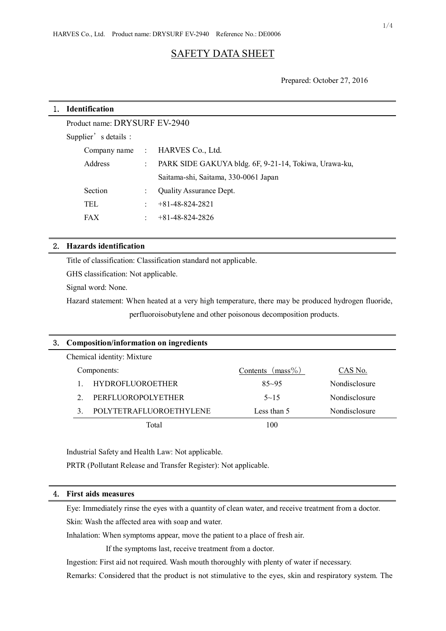# SAFETY DATA SHEET

Prepared: October 27, 2016

| 1. | <b>Identification</b>         |                           |                                                       |  |  |  |
|----|-------------------------------|---------------------------|-------------------------------------------------------|--|--|--|
|    | Product name: DRYSURF EV-2940 |                           |                                                       |  |  |  |
|    | Supplier's details :          |                           |                                                       |  |  |  |
|    | Company name:                 |                           | HARVES Co., Ltd.                                      |  |  |  |
|    | Address                       | $\mathbb{R}^{\mathbb{Z}}$ | PARK SIDE GAKUYA bldg. 6F, 9-21-14, Tokiwa, Urawa-ku, |  |  |  |
|    |                               |                           | Saitama-shi, Saitama, 330-0061 Japan                  |  |  |  |
|    | Section                       |                           | <b>Quality Assurance Dept.</b>                        |  |  |  |
|    | <b>TEL</b>                    | t.                        | $+81-48-824-2821$                                     |  |  |  |
|    | <b>FAX</b>                    | ÷                         | $+81 - 48 - 824 - 2826$                               |  |  |  |
|    |                               |                           |                                                       |  |  |  |

## 2. **Hazards identification**

Title of classification: Classification standard not applicable.

GHS classification: Not applicable.

Signal word: None.

Hazard statement: When heated at a very high temperature, there may be produced hydrogen fluoride, perfluoroisobutylene and other poisonous decomposition products.

| 3. | Composition/information on ingredients |                           |                     |               |  |  |
|----|----------------------------------------|---------------------------|---------------------|---------------|--|--|
|    | Chemical identity: Mixture             |                           |                     |               |  |  |
|    |                                        | Components:               | Contents $(mass\%)$ | CAS No.       |  |  |
|    |                                        | <b>HYDROFLUOROETHER</b>   | $85 - 95$           | Nondisclosure |  |  |
|    | $\mathcal{D}$                          | <b>PERFLUOROPOLYETHER</b> | $5 - 15$            | Nondisclosure |  |  |
|    | $\mathcal{R}$                          | POLYTETRAFLUOROETHYLENE   | Less than 5         | Nondisclosure |  |  |
|    |                                        | Total                     | 100                 |               |  |  |

Industrial Safety and Health Law: Not applicable.

PRTR (Pollutant Release and Transfer Register): Not applicable.

# 4. **First aids measures**

Eye: Immediately rinse the eyes with a quantity of clean water, and receive treatment from a doctor. Skin: Wash the affected area with soap and water.

Inhalation: When symptoms appear, move the patient to a place of fresh air.

If the symptoms last, receive treatment from a doctor.

Ingestion: First aid not required. Wash mouth thoroughly with plenty of water if necessary.

Remarks: Considered that the product is not stimulative to the eyes, skin and respiratory system. The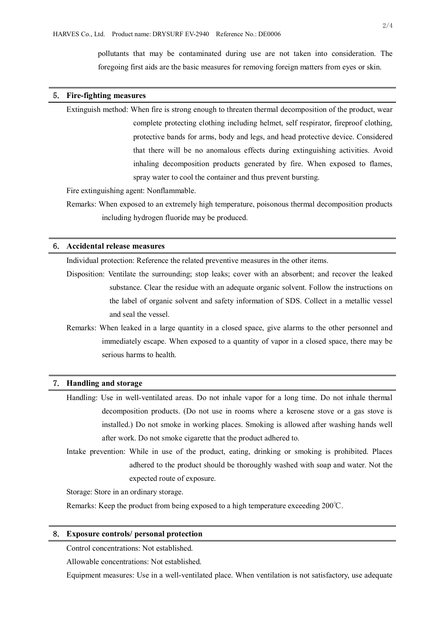pollutants that may be contaminated during use are not taken into consideration. The foregoing first aids are the basic measures for removing foreign matters from eyes or skin.

#### 5. **Fire-fighting measures**

Extinguish method: When fire is strong enough to threaten thermal decomposition of the product, wear complete protecting clothing including helmet, self respirator, fireproof clothing, protective bands for arms, body and legs, and head protective device. Considered that there will be no anomalous effects during extinguishing activities. Avoid inhaling decomposition products generated by fire. When exposed to flames, spray water to cool the container and thus prevent bursting.

Fire extinguishing agent: Nonflammable.

Remarks: When exposed to an extremely high temperature, poisonous thermal decomposition products including hydrogen fluoride may be produced.

## 6. **Accidental release measures**

Individual protection: Reference the related preventive measures in the other items.

Disposition: Ventilate the surrounding; stop leaks; cover with an absorbent; and recover the leaked substance. Clear the residue with an adequate organic solvent. Follow the instructions on the label of organic solvent and safety information of SDS. Collect in a metallic vessel and seal the vessel.

Remarks: When leaked in a large quantity in a closed space, give alarms to the other personnel and immediately escape. When exposed to a quantity of vapor in a closed space, there may be serious harms to health.

#### 7. **Handling and storage**

- Handling: Use in well-ventilated areas. Do not inhale vapor for a long time. Do not inhale thermal decomposition products. (Do not use in rooms where a kerosene stove or a gas stove is installed.) Do not smoke in working places. Smoking is allowed after washing hands well after work. Do not smoke cigarette that the product adhered to.
- Intake prevention: While in use of the product, eating, drinking or smoking is prohibited. Places adhered to the product should be thoroughly washed with soap and water. Not the expected route of exposure.

Storage: Store in an ordinary storage.

Remarks: Keep the product from being exposed to a high temperature exceeding 200℃.

#### 8. **Exposure controls/ personal protection**

Control concentrations: Not established.

Allowable concentrations: Not established.

Equipment measures: Use in a well-ventilated place. When ventilation is not satisfactory, use adequate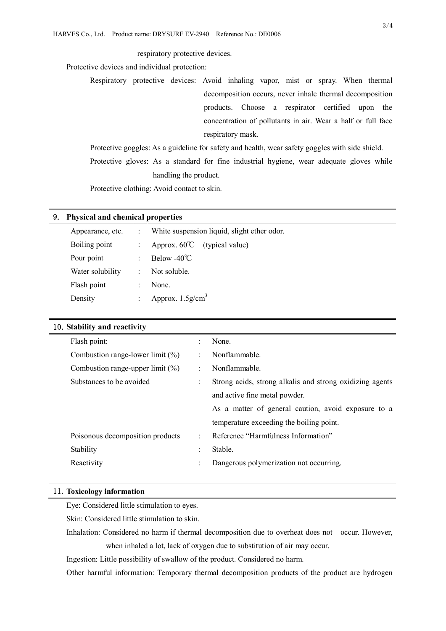respiratory protective devices.

Protective devices and individual protection:

Respiratory protective devices: Avoid inhaling vapor, mist or spray. When thermal decomposition occurs, never inhale thermal decomposition products. Choose a respirator certified upon the concentration of pollutants in air. Wear a half or full face respiratory mask.

Protective goggles: As a guideline for safety and health, wear safety goggles with side shield. Protective gloves: As a standard for fine industrial hygiene, wear adequate gloves while handling the product.

Protective clothing: Avoid contact to skin.

#### 9. **Physical and chemical properties**

| Appearance, etc. | ÷  | White suspension liquid, slight ether odor. |
|------------------|----|---------------------------------------------|
| Boiling point    |    | Approx. $60^{\circ}$ (typical value)        |
| Pour point       | t. | Below $-40^{\circ}$ C                       |
| Water solubility | ÷. | Not soluble.                                |
| Flash point      | ٠  | None.                                       |
| Density          | ٠. | Approx. $1.5$ g/cm <sup>3</sup>             |

| 10. Stability and reactivity |  |
|------------------------------|--|
|------------------------------|--|

| Flash point:                        | None.                                                    |
|-------------------------------------|----------------------------------------------------------|
| Combustion range-lower limit $(\%)$ | Nonflammable.                                            |
| Combustion range-upper limit $(\%)$ | Nonflammable.                                            |
| Substances to be avoided            | Strong acids, strong alkalis and strong oxidizing agents |
|                                     | and active fine metal powder.                            |
|                                     | As a matter of general caution, avoid exposure to a      |
|                                     | temperature exceeding the boiling point.                 |
| Poisonous decomposition products    | Reference "Harmfulness Information"                      |
| Stability                           | Stable.                                                  |
| Reactivity                          | Dangerous polymerization not occurring.                  |
|                                     |                                                          |

#### 11.**Toxicology information**

Eye: Considered little stimulation to eyes.

Skin: Considered little stimulation to skin.

Inhalation: Considered no harm if thermal decomposition due to overheat does not occur. However,

when inhaled a lot, lack of oxygen due to substitution of air may occur.

Ingestion: Little possibility of swallow of the product. Considered no harm.

Other harmful information: Temporary thermal decomposition products of the product are hydrogen